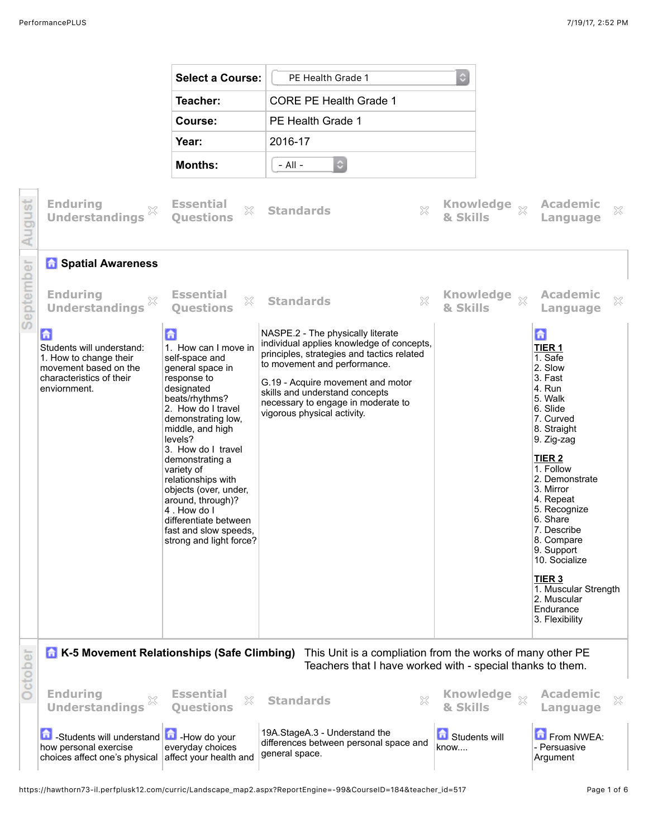|           |                                                                                                                                                                                 | <b>Select a Course:</b>                                                                                                                                                                                                                                                                                                                                                                                          | PE Health Grade 1                                                                                                                                                                                                                                                                                        | $\Diamond$                   |                                                                                                                                                                                                                                                                                                                                                                                                 |  |
|-----------|---------------------------------------------------------------------------------------------------------------------------------------------------------------------------------|------------------------------------------------------------------------------------------------------------------------------------------------------------------------------------------------------------------------------------------------------------------------------------------------------------------------------------------------------------------------------------------------------------------|----------------------------------------------------------------------------------------------------------------------------------------------------------------------------------------------------------------------------------------------------------------------------------------------------------|------------------------------|-------------------------------------------------------------------------------------------------------------------------------------------------------------------------------------------------------------------------------------------------------------------------------------------------------------------------------------------------------------------------------------------------|--|
|           |                                                                                                                                                                                 | Teacher:                                                                                                                                                                                                                                                                                                                                                                                                         | <b>CORE PE Health Grade 1</b>                                                                                                                                                                                                                                                                            |                              |                                                                                                                                                                                                                                                                                                                                                                                                 |  |
|           |                                                                                                                                                                                 | Course:                                                                                                                                                                                                                                                                                                                                                                                                          | PE Health Grade 1                                                                                                                                                                                                                                                                                        |                              |                                                                                                                                                                                                                                                                                                                                                                                                 |  |
|           |                                                                                                                                                                                 | Year:                                                                                                                                                                                                                                                                                                                                                                                                            | 2016-17                                                                                                                                                                                                                                                                                                  |                              |                                                                                                                                                                                                                                                                                                                                                                                                 |  |
|           |                                                                                                                                                                                 | <b>Months:</b>                                                                                                                                                                                                                                                                                                                                                                                                   | $\ddot{\circ}$<br>$-$ All $-$                                                                                                                                                                                                                                                                            |                              |                                                                                                                                                                                                                                                                                                                                                                                                 |  |
| August    | <b>Enduring</b><br><b>Understandings</b>                                                                                                                                        | <b>Essential</b><br>×<br><b>Ouestions</b>                                                                                                                                                                                                                                                                                                                                                                        | <b>Standards</b><br>X                                                                                                                                                                                                                                                                                    | Knowledge xx<br>& Skills     | <b>Academic</b><br>×<br>Language                                                                                                                                                                                                                                                                                                                                                                |  |
|           | <b>h</b> Spatial Awareness                                                                                                                                                      |                                                                                                                                                                                                                                                                                                                                                                                                                  |                                                                                                                                                                                                                                                                                                          |                              |                                                                                                                                                                                                                                                                                                                                                                                                 |  |
| September | <b>Enduring</b><br>X<br><b>Understandings</b>                                                                                                                                   | <b>Essential</b><br>X<br><b>Questions</b>                                                                                                                                                                                                                                                                                                                                                                        | ×<br><b>Standards</b>                                                                                                                                                                                                                                                                                    | & Skills                     | <b>Academic</b><br>$\mathbb{X}$<br>Language                                                                                                                                                                                                                                                                                                                                                     |  |
|           | 孟<br>Students will understand:<br>1. How to change their<br>movement based on the<br>characteristics of their<br>enviornment.                                                   | 命<br>1. How can I move in<br>self-space and<br>general space in<br>response to<br>designated<br>beats/rhythms?<br>2. How do I travel<br>demonstrating low,<br>middle, and high<br>levels?<br>3. How do I travel<br>demonstrating a<br>variety of<br>relationships with<br>objects (over, under,<br>around, through)?<br>4. How do I<br>differentiate between<br>fast and slow speeds,<br>strong and light force? | NASPE.2 - The physically literate<br>individual applies knowledge of concepts,<br>principles, strategies and tactics related<br>to movement and performance.<br>G.19 - Acquire movement and motor<br>skills and understand concepts<br>necessary to engage in moderate to<br>vigorous physical activity. |                              | 合<br>TIER <sub>1</sub><br>1. Safe<br>2. Slow<br>3. Fast<br>4. Run<br>5. Walk<br>6. Slide<br>7. Curved<br>8. Straight<br>9. Zig-zag<br><b>TIER 2</b><br>1. Follow<br>2. Demonstrate<br>3. Mirror<br>4. Repeat<br>5. Recognize<br>6. Share<br>7. Describe<br>8. Compare<br>9. Support<br>10. Socialize<br>TIER <sub>3</sub><br>1. Muscular Strength<br>2. Muscular<br>Endurance<br>3. Flexibility |  |
|           | <b>A</b> K-5 Movement Relationships (Safe Climbing)<br>This Unit is a compliation from the works of many other PE<br>Teachers that I have worked with - special thanks to them. |                                                                                                                                                                                                                                                                                                                                                                                                                  |                                                                                                                                                                                                                                                                                                          |                              |                                                                                                                                                                                                                                                                                                                                                                                                 |  |
| October   | <b>Enduring</b><br>×<br><b>Understandings</b>                                                                                                                                   | <b>Essential</b><br>×<br><b>Questions</b>                                                                                                                                                                                                                                                                                                                                                                        | <b>Standards</b><br>X                                                                                                                                                                                                                                                                                    | <b>Knowledge</b><br>& Skills | <b>Academic</b><br>×<br>Language                                                                                                                                                                                                                                                                                                                                                                |  |
|           | 命<br>-Students will understand <b>[1]</b> -How do your<br>how personal exercise<br>choices affect one's physical                                                                | everyday choices<br>affect your health and                                                                                                                                                                                                                                                                                                                                                                       | 19A.StageA.3 - Understand the<br>differences between personal space and<br>general space.                                                                                                                                                                                                                | Students will<br>know        | From NWEA:<br>- Persuasive<br>Argument                                                                                                                                                                                                                                                                                                                                                          |  |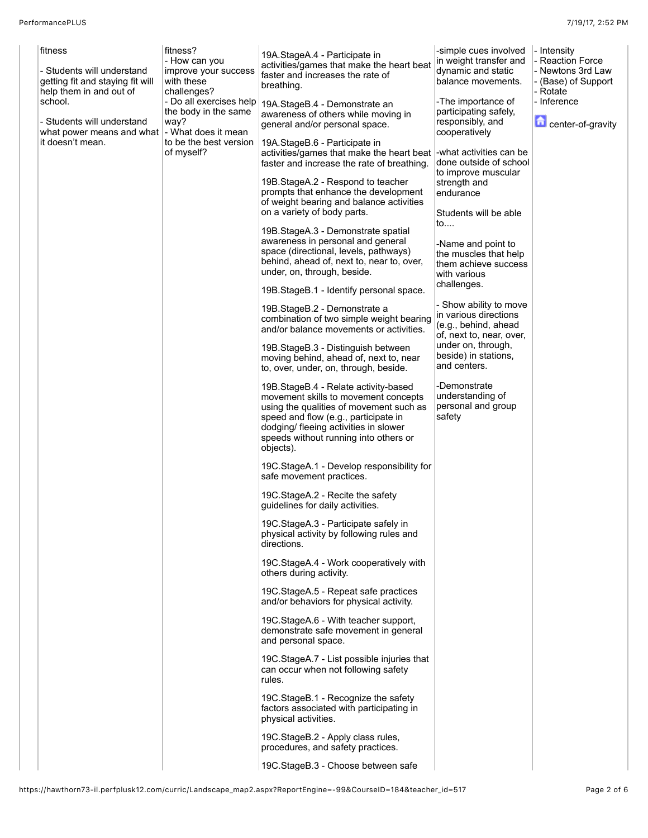| fitness                                                                                   | fitness?<br>- How can you                                   | 19A.StageA.4 - Participate in                                                                                                                                                                                                                                  | -simple cues involved<br>in weight transfer and                                                     | - Intensity<br>- Reaction Force                      |
|-------------------------------------------------------------------------------------------|-------------------------------------------------------------|----------------------------------------------------------------------------------------------------------------------------------------------------------------------------------------------------------------------------------------------------------------|-----------------------------------------------------------------------------------------------------|------------------------------------------------------|
| - Students will understand<br>getting fit and staying fit will<br>help them in and out of | improve your success<br>with these<br>challenges?           | activities/games that make the heart beat<br>faster and increases the rate of<br>breathing.                                                                                                                                                                    | dynamic and static<br>balance movements.                                                            | - Newtons 3rd Law<br>- (Base) of Support<br>- Rotate |
| school.<br>- Students will understand                                                     | - Do all exercises help<br>the body in the same<br>way?     | 19A.StageB.4 - Demonstrate an<br>awareness of others while moving in<br>general and/or personal space.                                                                                                                                                         | -The importance of<br>participating safely,<br>responsibly, and                                     | - Inference<br>center-of-gravity                     |
| what power means and what<br>it doesn't mean.                                             | - What does it mean<br>to be the best version<br>of myself? | 19A.StageB.6 - Participate in<br>activities/games that make the heart beat<br>faster and increase the rate of breathing.                                                                                                                                       | cooperatively<br>-what activities can be<br>done outside of school                                  |                                                      |
|                                                                                           |                                                             | 19B.StageA.2 - Respond to teacher<br>prompts that enhance the development                                                                                                                                                                                      | to improve muscular<br>strength and<br>endurance                                                    |                                                      |
|                                                                                           |                                                             | of weight bearing and balance activities<br>on a variety of body parts.                                                                                                                                                                                        | Students will be able<br>to                                                                         |                                                      |
|                                                                                           |                                                             | 19B.StageA.3 - Demonstrate spatial<br>awareness in personal and general<br>space (directional, levels, pathways)<br>behind, ahead of, next to, near to, over,<br>under, on, through, beside.                                                                   | -Name and point to<br>the muscles that help<br>them achieve success<br>with various                 |                                                      |
|                                                                                           |                                                             | 19B. Stage B.1 - Identify personal space.                                                                                                                                                                                                                      | challenges.                                                                                         |                                                      |
|                                                                                           |                                                             | 19B.StageB.2 - Demonstrate a<br>combination of two simple weight bearing<br>and/or balance movements or activities.                                                                                                                                            | - Show ability to move<br>in various directions<br>(e.g., behind, ahead<br>of, next to, near, over, |                                                      |
|                                                                                           |                                                             | 19B.StageB.3 - Distinguish between<br>moving behind, ahead of, next to, near<br>to, over, under, on, through, beside.                                                                                                                                          | under on, through,<br>beside) in stations,<br>and centers.                                          |                                                      |
|                                                                                           |                                                             | 19B.StageB.4 - Relate activity-based<br>movement skills to movement concepts<br>using the qualities of movement such as<br>speed and flow (e.g., participate in<br>dodging/ fleeing activities in slower<br>speeds without running into others or<br>objects). | -Demonstrate<br>understanding of<br>personal and group<br>safety                                    |                                                      |
|                                                                                           |                                                             | 19C.StageA.1 - Develop responsibility for<br>safe movement practices.                                                                                                                                                                                          |                                                                                                     |                                                      |
|                                                                                           |                                                             | 19C.StageA.2 - Recite the safety<br>guidelines for daily activities.                                                                                                                                                                                           |                                                                                                     |                                                      |
|                                                                                           |                                                             | 19C.StageA.3 - Participate safely in<br>physical activity by following rules and<br>directions.                                                                                                                                                                |                                                                                                     |                                                      |
|                                                                                           |                                                             | 19C.StageA.4 - Work cooperatively with<br>others during activity.                                                                                                                                                                                              |                                                                                                     |                                                      |
|                                                                                           |                                                             | 19C.StageA.5 - Repeat safe practices<br>and/or behaviors for physical activity.                                                                                                                                                                                |                                                                                                     |                                                      |
|                                                                                           |                                                             | 19C.StageA.6 - With teacher support,<br>demonstrate safe movement in general<br>and personal space.                                                                                                                                                            |                                                                                                     |                                                      |
|                                                                                           |                                                             | 19C.StageA.7 - List possible injuries that<br>can occur when not following safety<br>rules.                                                                                                                                                                    |                                                                                                     |                                                      |
|                                                                                           |                                                             | 19C.StageB.1 - Recognize the safety<br>factors associated with participating in<br>physical activities.                                                                                                                                                        |                                                                                                     |                                                      |
|                                                                                           |                                                             | 19C.StageB.2 - Apply class rules,<br>procedures, and safety practices.                                                                                                                                                                                         |                                                                                                     |                                                      |
|                                                                                           |                                                             | 19C.StageB.3 - Choose between safe                                                                                                                                                                                                                             |                                                                                                     |                                                      |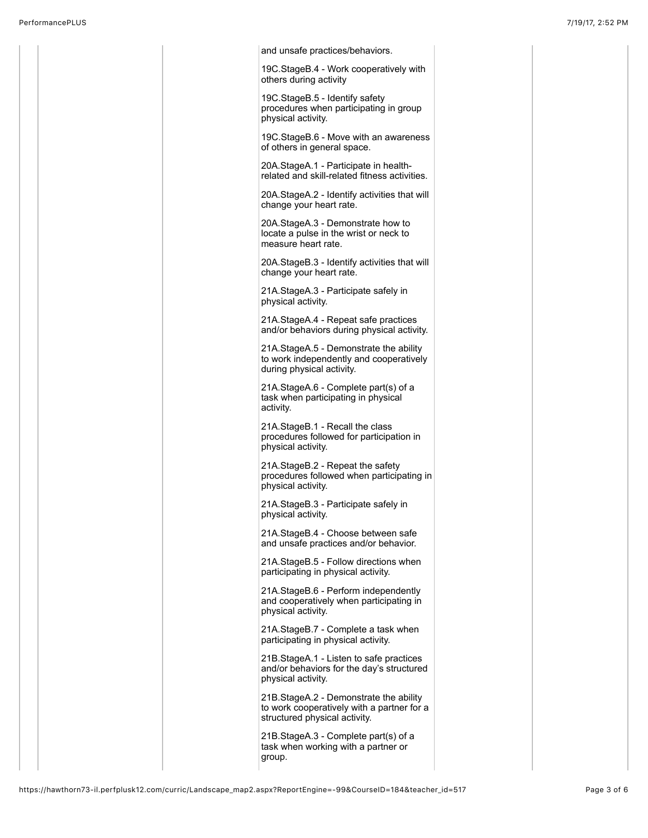| and unsafe practices/behaviors.                                                                                         |  |
|-------------------------------------------------------------------------------------------------------------------------|--|
| 19C.StageB.4 - Work cooperatively with<br>others during activity                                                        |  |
| 19C.StageB.5 - Identify safety<br>procedures when participating in group<br>physical activity.                          |  |
| 19C. StageB.6 - Move with an awareness<br>of others in general space.                                                   |  |
| 20A.StageA.1 - Participate in health-<br>related and skill-related fitness activities.                                  |  |
| 20A.StageA.2 - Identify activities that will<br>change your heart rate.                                                 |  |
| 20A.StageA.3 - Demonstrate how to<br>locate a pulse in the wrist or neck to<br>measure heart rate.                      |  |
| 20A. Stage B.3 - Identify activities that will<br>change your heart rate.                                               |  |
| 21A.StageA.3 - Participate safely in<br>physical activity.                                                              |  |
| 21A.StageA.4 - Repeat safe practices<br>and/or behaviors during physical activity.                                      |  |
| 21A.StageA.5 - Demonstrate the ability<br>to work independently and cooperatively<br>during physical activity.          |  |
| 21A.StageA.6 - Complete part(s) of a<br>task when participating in physical<br>activity.                                |  |
| 21A.StageB.1 - Recall the class<br>procedures followed for participation in<br>physical activity.                       |  |
| 21A.StageB.2 - Repeat the safety<br>procedures followed when participating in<br>physical activity.                     |  |
| 21A.StageB.3 - Participate safely in<br>physical activity.                                                              |  |
| 21A.StageB.4 - Choose between safe<br>and unsafe practices and/or behavior.                                             |  |
| 21A.StageB.5 - Follow directions when<br>participating in physical activity.                                            |  |
| 21A.StageB.6 - Perform independently<br>and cooperatively when participating in<br>physical activity.                   |  |
| 21A.StageB.7 - Complete a task when<br>participating in physical activity.                                              |  |
| 21B. Stage A.1 - Listen to safe practices<br>and/or behaviors for the day's structured<br>physical activity.            |  |
| 21B. Stage A.2 - Demonstrate the ability<br>to work cooperatively with a partner for a<br>structured physical activity. |  |
| 21B. Stage A.3 - Complete part(s) of a<br>task when working with a partner or<br>group.                                 |  |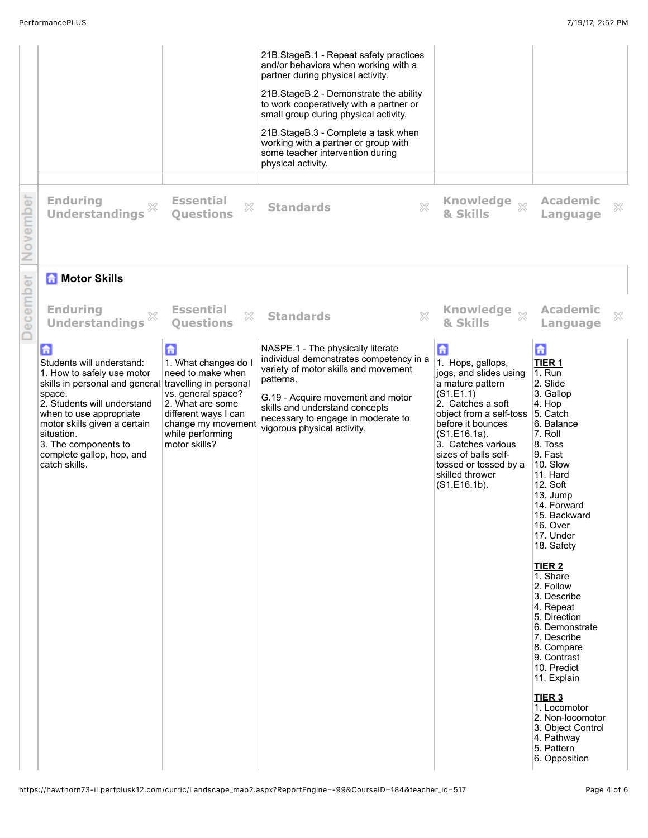| November     | <b>Enduring</b><br>X<br><b>Understandings</b>                                                                                                                                                                                                                                                                                                                                      | <b>Essential</b><br>X<br><b>Ouestions</b>                                                                                                                                                                                           | 21B.StageB.1 - Repeat safety practices<br>and/or behaviors when working with a<br>partner during physical activity.<br>21B.StageB.2 - Demonstrate the ability<br>to work cooperatively with a partner or<br>small group during physical activity.<br>21B.StageB.3 - Complete a task when<br>working with a partner or group with<br>some teacher intervention during<br>physical activity.<br>X<br><b>Standards</b> | Knowledge xx<br>& Skills                                                                                                                                                                                                                                                                                                            | <b>Academic</b><br>$\mathbb{X}$<br>Language                                                                                                                                                                                                                                                                                                                                                                                                                                                                                                                              |
|--------------|------------------------------------------------------------------------------------------------------------------------------------------------------------------------------------------------------------------------------------------------------------------------------------------------------------------------------------------------------------------------------------|-------------------------------------------------------------------------------------------------------------------------------------------------------------------------------------------------------------------------------------|---------------------------------------------------------------------------------------------------------------------------------------------------------------------------------------------------------------------------------------------------------------------------------------------------------------------------------------------------------------------------------------------------------------------|-------------------------------------------------------------------------------------------------------------------------------------------------------------------------------------------------------------------------------------------------------------------------------------------------------------------------------------|--------------------------------------------------------------------------------------------------------------------------------------------------------------------------------------------------------------------------------------------------------------------------------------------------------------------------------------------------------------------------------------------------------------------------------------------------------------------------------------------------------------------------------------------------------------------------|
| ecember<br>≏ | <b>A</b> Motor Skills<br><b>Enduring</b><br><b>Understandings</b><br>a<br>Students will understand:<br>1. How to safely use motor<br>skills in personal and general travelling in personal<br>space.<br>2. Students will understand<br>when to use appropriate<br>motor skills given a certain<br>situation.<br>3. The components to<br>complete gallop, hop, and<br>catch skills. | <b>Essential</b><br>X<br><b>Questions</b><br>$\mathbf{G}$<br>1. What changes do I<br>need to make when<br>vs. general space?<br>2. What are some<br>different ways I can<br>change my movement<br>while performing<br>motor skills? | $\mathbb{S}^2$<br><b>Standards</b><br>NASPE.1 - The physically literate<br>individual demonstrates competency in a<br>variety of motor skills and movement<br>patterns.<br>G.19 - Acquire movement and motor<br>skills and understand concepts<br>necessary to engage in moderate to<br>vigorous physical activity.                                                                                                 | Knowledge xx<br>& Skills<br>$\mathbf{d}$<br>1. Hops, gallops,<br>jogs, and slides using<br>a mature pattern<br>(S1.E1.1)<br>2. Catches a soft<br>object from a self-toss 5. Catch<br>before it bounces<br>$(S1.E16.1a)$ .<br>3. Catches various<br>sizes of balls self-<br>tossed or tossed by a<br>skilled thrower<br>(S1.E16.1b). | <b>Academic</b><br>X<br>Language<br>命<br>TIER <sub>1</sub><br>1. Run<br>2. Slide<br>3. Gallop<br>4. Hop<br>6. Balance<br>7. Roll<br>8. Toss<br>9. Fast<br>10. Slow<br>11. Hard<br>12. Soft<br>13. Jump<br>14. Forward<br>15. Backward<br>16. Over<br>17. Under<br>18. Safety<br>TIER <sub>2</sub><br>1. Share<br>2. Follow<br>3. Describe<br>4. Repeat<br>5. Direction<br>6. Demonstrate<br>7. Describe<br>8. Compare<br>9. Contrast<br>10. Predict<br>11. Explain<br><b>TIER 3</b><br>1. Locomotor<br>2. Non-locomotor<br>3. Object Control<br>4. Pathway<br>5. Pattern |